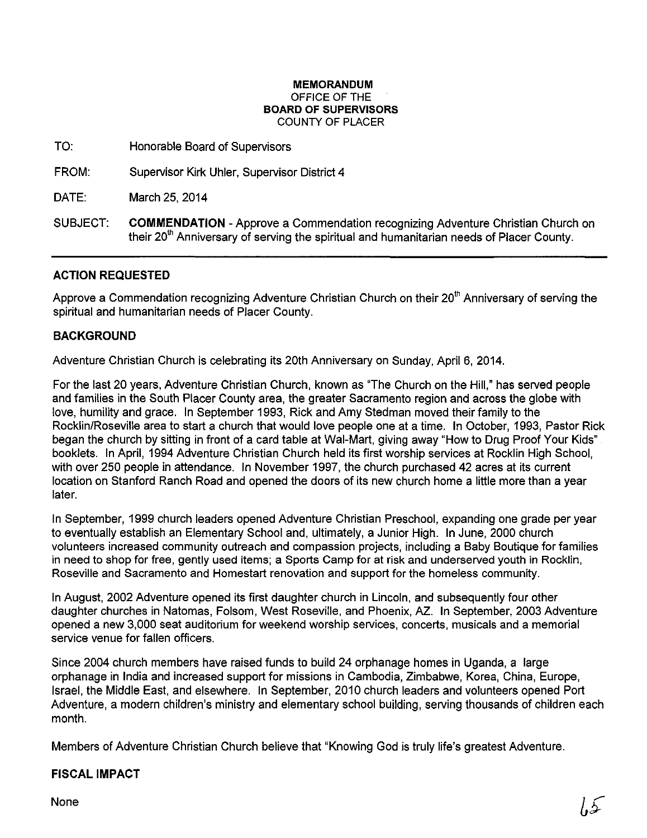#### **MEMORANDUM**  OFFICE OF THE **BOARD OF SUPERVISORS**  COUNTY OF PLACER

TO: Honorable Board of Supervisors

FROM: Supervisor Kirk Uhler, Supervisor District 4

DATE: March 25, 2014

SUBJECT: **COMMENDATION-** Approve a Commendation recognizing Adventure Christian Church on their  $20<sup>th</sup>$  Anniversary of serving the spiritual and humanitarian needs of Placer County.

## **ACTION REQUESTED**

Approve a Commendation recognizing Adventure Christian Church on their 20<sup>th</sup> Anniversary of serving the spiritual and humanitarian needs of Placer County.

### **BACKGROUND**

Adventure Christian Church is celebrating its 20th Anniversary on Sunday, April 6, 2014.

For the last 20 years, Adventure Christian Church, known as "The Church on the Hill," has served people and families in the South Placer County area, the greater Sacramento region and across the globe with love, humility and grace. In September 1993, Rick and Amy Stedman moved their family to the Rocklin/Roseville area to start a church that would love people one at a time. In October, 1993, Pastor Rick began the church by sitting in front of a card table at Wal-Mart, giving away "How to Drug Proof Your Kids" booklets. In April, 1994 Adventure Christian Church held its first worship services at Rocklin High School, with over 250 people in attendance. In November 1997, the church purchased 42 acres at its current location on Stanford Ranch Road and opened the doors of its new church home a little more than a year later.

In September, 1999 church leaders opened Adventure Christian Preschool, expanding one grade per year to eventually establish an Elementary School and, ultimately, a Junior High. In June, 2000 church volunteers increased community outreach and compassion projects, including a Baby Boutique for families in need to shop for free, gently used items; a Sports Camp for at risk and underserved youth in Rocklin, Roseville and Sacramento and Homestart renovation and support for the homeless community.

In August, 2002 Adventure opened its first daughter church in Lincoln, and subsequently four other daughter churches in Natomas, Folsom, West Roseville, and Phoenix, AZ.. In September, 2003 Adventure opened a new 3,000 seat auditorium for weekend worship services, concerts, musicals and a memorial service venue for fallen officers.

Since 2004 church members have raised funds to build 24 orphanage homes in Uganda, a large orphanage in India and increased support for missions in Cambodia, Zimbabwe, Korea, China, Europe, Israel, the Middle East, and elsewhere. In September, 2010 church leaders and volunteers opened Port Adventure, a modern children's ministry and elementary school building, serving thousands of children each month.

Members of Adventure Christian Church believe that "Knowing God is truly life's greatest Adventure.

# **FISCAL IMPACT**

None